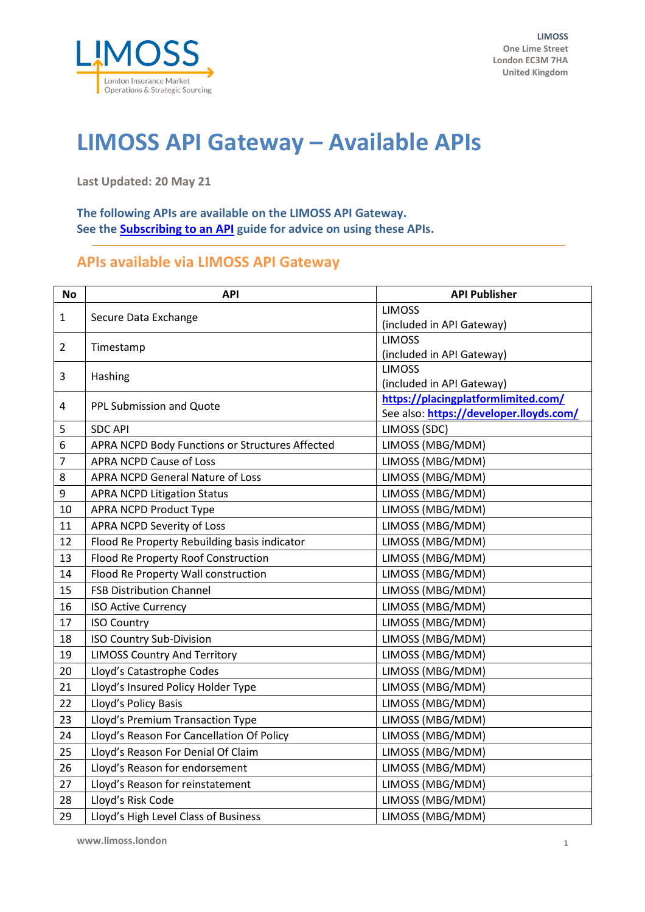

## **LIMOSS API Gateway – Available APIs**

**Last Updated: 20 May 21**

**The following APIs are available on the LIMOSS API Gateway. See th[e Subscribing to an API](https://admin.limoss.london/wp-content/uploads/2021/05/Subscribing-to-an-API-LIMOSS-API-Gateway.pdf) guide for advice on using these APIs.**

## **APIs available via LIMOSS API Gateway**

| <b>No</b>      | <b>API</b>                                      | <b>API Publisher</b>                    |
|----------------|-------------------------------------------------|-----------------------------------------|
| $\mathbf{1}$   | Secure Data Exchange                            | <b>LIMOSS</b>                           |
|                |                                                 | (included in API Gateway)               |
| $\overline{2}$ | Timestamp                                       | <b>LIMOSS</b>                           |
|                |                                                 | (included in API Gateway)               |
| 3              | Hashing                                         | <b>LIMOSS</b>                           |
|                |                                                 | (included in API Gateway)               |
| 4              | PPL Submission and Quote                        | https://placingplatformlimited.com/     |
|                |                                                 | See also: https://developer.lloyds.com/ |
| 5              | <b>SDC API</b>                                  | LIMOSS (SDC)                            |
| 6              | APRA NCPD Body Functions or Structures Affected | LIMOSS (MBG/MDM)                        |
| $\overline{7}$ | <b>APRA NCPD Cause of Loss</b>                  | LIMOSS (MBG/MDM)                        |
| 8              | <b>APRA NCPD General Nature of Loss</b>         | LIMOSS (MBG/MDM)                        |
| 9              | <b>APRA NCPD Litigation Status</b>              | LIMOSS (MBG/MDM)                        |
| 10             | <b>APRA NCPD Product Type</b>                   | LIMOSS (MBG/MDM)                        |
| 11             | <b>APRA NCPD Severity of Loss</b>               | LIMOSS (MBG/MDM)                        |
| 12             | Flood Re Property Rebuilding basis indicator    | LIMOSS (MBG/MDM)                        |
| 13             | Flood Re Property Roof Construction             | LIMOSS (MBG/MDM)                        |
| 14             | Flood Re Property Wall construction             | LIMOSS (MBG/MDM)                        |
| 15             | <b>FSB Distribution Channel</b>                 | LIMOSS (MBG/MDM)                        |
| 16             | <b>ISO Active Currency</b>                      | LIMOSS (MBG/MDM)                        |
| 17             | <b>ISO Country</b>                              | LIMOSS (MBG/MDM)                        |
| 18             | <b>ISO Country Sub-Division</b>                 | LIMOSS (MBG/MDM)                        |
| 19             | <b>LIMOSS Country And Territory</b>             | LIMOSS (MBG/MDM)                        |
| 20             | Lloyd's Catastrophe Codes                       | LIMOSS (MBG/MDM)                        |
| 21             | Lloyd's Insured Policy Holder Type              | LIMOSS (MBG/MDM)                        |
| 22             | Lloyd's Policy Basis                            | LIMOSS (MBG/MDM)                        |
| 23             | Lloyd's Premium Transaction Type                | LIMOSS (MBG/MDM)                        |
| 24             | Lloyd's Reason For Cancellation Of Policy       | LIMOSS (MBG/MDM)                        |
| 25             | Lloyd's Reason For Denial Of Claim              | LIMOSS (MBG/MDM)                        |
| 26             | Lloyd's Reason for endorsement                  | LIMOSS (MBG/MDM)                        |
| 27             | Lloyd's Reason for reinstatement                | LIMOSS (MBG/MDM)                        |
| 28             | Lloyd's Risk Code                               | LIMOSS (MBG/MDM)                        |
| 29             | Lloyd's High Level Class of Business            | LIMOSS (MBG/MDM)                        |

**www.limoss.london 1**